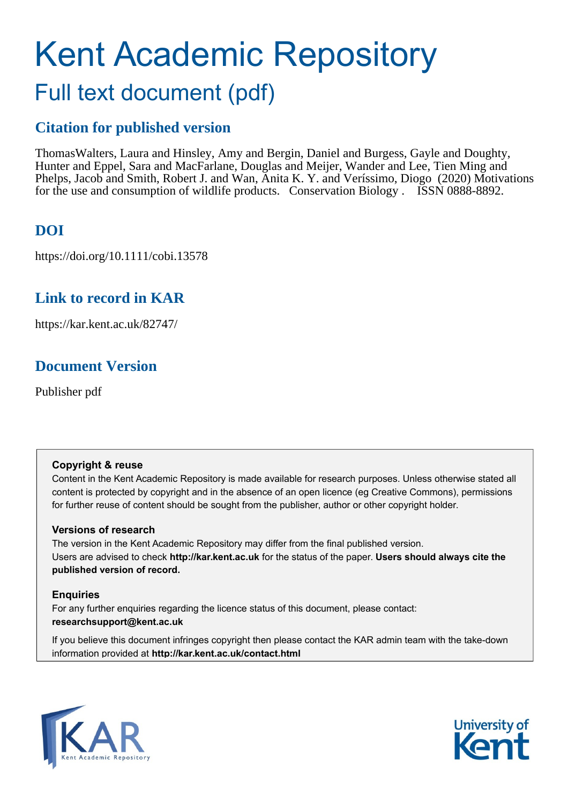# Kent Academic Repository Full text document (pdf)

## **Citation for published version**

Thomas Walters, Laura and Hinsley, Amy and Bergin, Daniel and Burgess, Gayle and Doughty, Hunter and Eppel, Sara and MacFarlane, Douglas and Meijer, Wander and Lee, Tien Ming and Phelps, Jacob and Smith, Robert J. and Wan, Anita K. Y. and Veríssimo, Diogo (2020) Motivations for the use and consumption of wildlife products. Conservation Biology . ISSN 0888-8892.

## **DOI**

https://doi.org/10.1111/cobi.13578

## **Link to record in KAR**

https://kar.kent.ac.uk/82747/

## **Document Version**

Publisher pdf

### **Copyright & reuse**

Content in the Kent Academic Repository is made available for research purposes. Unless otherwise stated all content is protected by copyright and in the absence of an open licence (eg Creative Commons), permissions for further reuse of content should be sought from the publisher, author or other copyright holder.

### **Versions of research**

The version in the Kent Academic Repository may differ from the final published version. Users are advised to check **http://kar.kent.ac.uk** for the status of the paper. **Users should always cite the published version of record.**

### **Enquiries**

For any further enquiries regarding the licence status of this document, please contact: **researchsupport@kent.ac.uk**

If you believe this document infringes copyright then please contact the KAR admin team with the take-down information provided at **http://kar.kent.ac.uk/contact.html**



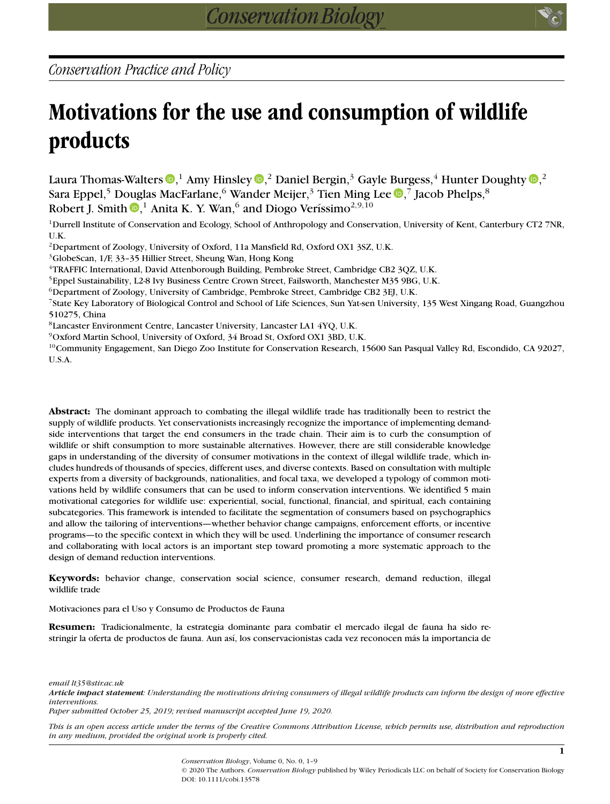*Conservation Practice and Policy*

## **Motivations for the use and consumption of wildlife products**

Laura Thomas-Walters  $\mathbf{D},^1$  $\mathbf{D},^1$  $\mathbf{D},^1$  Amy Hinsley  $\mathbf{D},^2$  Daniel Bergin, $^3$  Gayle Burgess, $^4$  Hunter Doughty  $\mathbf{D},^2$ Sara Eppel[,](https://orcid.org/0000-0003-2698-9358) $^5$  Douglas MacFarlane, $^6$  Wander Meijer, $^3$  Tien Ming Lee  $\textcolor{red}{\bullet}$ , $^7$  Jacob Phelps, $^8$ Robert J. Smith  $\mathbb{D},^1$  $\mathbb{D},^1$  $\mathbb{D},^1$  Anita K. Y. Wan, $^6$  and Diogo Veríssimo $^{2,9,10}$ 

<sup>1</sup>Durrell Institute of Conservation and Ecology, School of Anthropology and Conservation, University of Kent, Canterbury CT2 7NR, U.K.

<sup>2</sup>Department of Zoology, University of Oxford, 11a Mansfield Rd, Oxford OX1 3SZ, U.K.

3GlobeScan, 1/F, 33–35 Hillier Street, Sheung Wan, Hong Kong

4TRAFFIC International, David Attenborough Building, Pembroke Street, Cambridge CB2 3QZ, U.K.

5Eppel Sustainability, L2-8 Ivy Business Centre Crown Street, Failsworth, Manchester M35 9BG, U.K.

6Department of Zoology, University of Cambridge, Pembroke Street, Cambridge CB2 3EJ, U.K.

7State Key Laboratory of Biological Control and School of Life Sciences, Sun Yat-sen University, 135 West Xingang Road, Guangzhou 510275, China

8Lancaster Environment Centre, Lancaster University, Lancaster LA1 4YQ, U.K.

9Oxford Martin School, University of Oxford, 34 Broad St, Oxford OX1 3BD, U.K.

 $10$ Community Engagement, San Diego Zoo Institute for Conservation Research, 15600 San Pasqual Valley Rd, Escondido, CA 92027, U.S.A.

**Abstract:** The dominant approach to combating the illegal wildlife trade has traditionally been to restrict the supply of wildlife products. Yet conservationists increasingly recognize the importance of implementing demandside interventions that target the end consumers in the trade chain. Their aim is to curb the consumption of wildlife or shift consumption to more sustainable alternatives. However, there are still considerable knowledge gaps in understanding of the diversity of consumer motivations in the context of illegal wildlife trade, which includes hundreds of thousands of species, different uses, and diverse contexts. Based on consultation with multiple experts from a diversity of backgrounds, nationalities, and focal taxa, we developed a typology of common motivations held by wildlife consumers that can be used to inform conservation interventions. We identified 5 main motivational categories for wildlife use: experiential, social, functional, financial, and spiritual, each containing subcategories. This framework is intended to facilitate the segmentation of consumers based on psychographics and allow the tailoring of interventions—whether behavior change campaigns, enforcement efforts, or incentive programs—to the specific context in which they will be used. Underlining the importance of consumer research and collaborating with local actors is an important step toward promoting a more systematic approach to the design of demand reduction interventions.

**Keywords:** behavior change, conservation social science, consumer research, demand reduction, illegal wildlife trade

Motivaciones para el Uso y Consumo de Productos de Fauna

**Resumen:** Tradicionalmente, la estrategia dominante para combatir el mercado ilegal de fauna ha sido restringir la oferta de productos de fauna. Aun así, los conservacionistas cada vez reconocen más la importancia de

*email lt35@stir.ac.uk*

*Article impact statement: Understanding the motivations driving consumers of illegal wildlife products can inform the design of more effective interventions.*

*Paper submitted October 25, 2019; revised manuscript accepted June 19, 2020.*

*This is an open access article under the terms of the [Creative Commons Attribution](http://creativecommons.org/licenses/by/4.0/) License, which permits use, distribution and reproduction in any medium, provided the original work is properly cited.*

> *Conservation Biology*, Volume 0, No. 0, 1–9 © 2020 The Authors. *Conservation Biology* published by Wiley Periodicals LLC on behalf of Society for Conservation Biology DOI: 10.1111/cobi.13578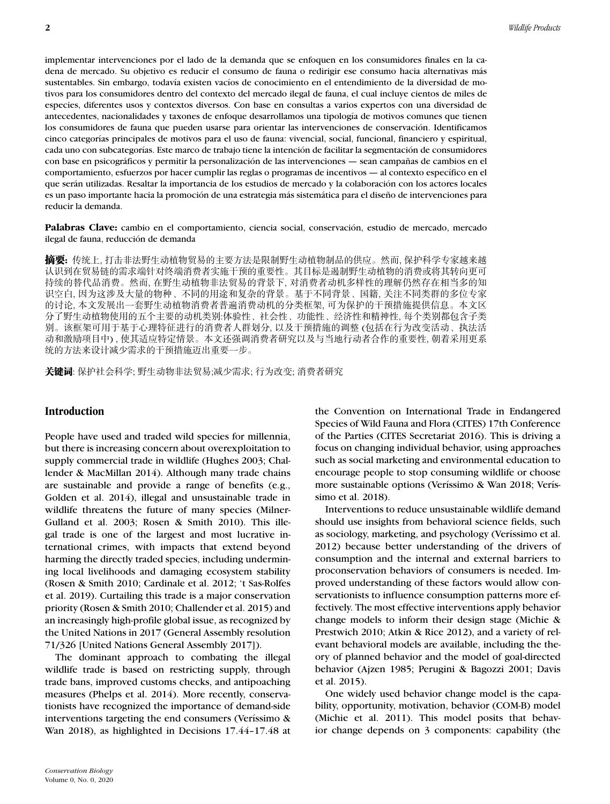implementar intervenciones por el lado de la demanda que se enfoquen en los consumidores finales en la cadena de mercado. Su objetivo es reducir el consumo de fauna o redirigir ese consumo hacia alternativas más sustentables. Sin embargo, todavía existen vacíos de conocimiento en el entendimiento de la diversidad de motivos para los consumidores dentro del contexto del mercado ilegal de fauna, el cual incluye cientos de miles de especies, diferentes usos y contextos diversos. Con base en consultas a varios expertos con una diversidad de antecedentes, nacionalidades y taxones de enfoque desarrollamos una tipología de motivos comunes que tienen los consumidores de fauna que pueden usarse para orientar las intervenciones de conservación. Identificamos cinco categorías principales de motivos para el uso de fauna: vivencial, social, funcional, financiero y espiritual, cada uno con subcategorías. Este marco de trabajo tiene la intención de facilitar la segmentación de consumidores con base en psicográficos y permitir la personalización de las intervenciones — sean campañas de cambios en el comportamiento, esfuerzos por hacer cumplir las reglas o programas de incentivos — al contexto específico en el que serán utilizadas. Resaltar la importancia de los estudios de mercado y la colaboración con los actores locales es un paso importante hacia la promoción de una estrategia más sistemática para el diseño de intervenciones para reducir la demanda.

**Palabras Clave:** cambio en el comportamiento, ciencia social, conservación, estudio de mercado, mercado ilegal de fauna, reducción de demanda

**摘要:** 传统上, 打击非法野生动植物贸易的主要方法是限制野生动植物制品的供应。然而, 保护科学专家越来越 认识到在贸易链的需求端针对终端消费者实施干预的重要性。其目标是遏制野生动植物的消费或将其转向更可 持续的替代品消费。然而, 在野生动植物非法贸易的背景下, 对消费者动机多样性的理解仍然存在相当多的知 识空白, 因为这涉及大量的物种、不同的用途和复杂的背景。基于不同背景、国籍, 关注不同类群的多位专家 的讨论,本文发展出一套野生动植物消费者普遍消费动机的分类框架, 可为保护的干预措施提供信息。本文区 分了野生动植物使用的五个主要的动机类别:体验性、社会性、功能性、经济性和精神性, 每个类别都包含子类 别。该框架可用于基于心理特征进行的消费者人群划分, 以及干预措施的调整 (包括在行为改变活动、执法活 动和激励项目中), 使其适应特定情景。本文还强调消费者研究以及与当地行动者合作的重要性, 朝着采用更系 统的方法来设计减少需求的干预措施迈出重要一步。

关键词: 保护社会科学; 野生动物非法贸易;减少需求; 行为改变; 消费者研究

### **Introduction**

People have used and traded wild species for millennia, but there is increasing concern about overexploitation to supply commercial trade in wildlife (Hughes 2003; Challender & MacMillan 2014). Although many trade chains are sustainable and provide a range of benefits (e.g., Golden et al. 2014), illegal and unsustainable trade in wildlife threatens the future of many species (Milner-Gulland et al. 2003; Rosen & Smith 2010). This illegal trade is one of the largest and most lucrative international crimes, with impacts that extend beyond harming the directly traded species, including undermining local livelihoods and damaging ecosystem stability (Rosen & Smith 2010; Cardinale et al. 2012; 't Sas-Rolfes et al. 2019). Curtailing this trade is a major conservation priority (Rosen & Smith 2010; Challender et al. 2015) and an increasingly high-profile global issue, as recognized by the United Nations in 2017 (General Assembly resolution 71/326 [United Nations General Assembly 2017]).

The dominant approach to combating the illegal wildlife trade is based on restricting supply, through trade bans, improved customs checks, and antipoaching measures (Phelps et al. 2014). More recently, conservationists have recognized the importance of demand-side interventions targeting the end consumers (Veríssimo & Wan 2018), as highlighted in Decisions 17.44–17.48 at

the Convention on International Trade in Endangered Species of Wild Fauna and Flora (CITES) 17th Conference of the Parties (CITES Secretariat 2016). This is driving a focus on changing individual behavior, using approaches such as social marketing and environmental education to encourage people to stop consuming wildlife or choose more sustainable options (Veríssimo & Wan 2018; Veríssimo et al. 2018).

Interventions to reduce unsustainable wildlife demand should use insights from behavioral science fields, such as sociology, marketing, and psychology (Veríssimo et al. 2012) because better understanding of the drivers of consumption and the internal and external barriers to proconservation behaviors of consumers is needed. Improved understanding of these factors would allow conservationists to influence consumption patterns more effectively. The most effective interventions apply behavior change models to inform their design stage (Michie & Prestwich 2010; Atkin & Rice 2012), and a variety of relevant behavioral models are available, including the theory of planned behavior and the model of goal-directed behavior (Ajzen 1985; Perugini & Bagozzi 2001; Davis et al. 2015).

One widely used behavior change model is the capability, opportunity, motivation, behavior (COM-B) model (Michie et al. 2011). This model posits that behavior change depends on 3 components: capability (the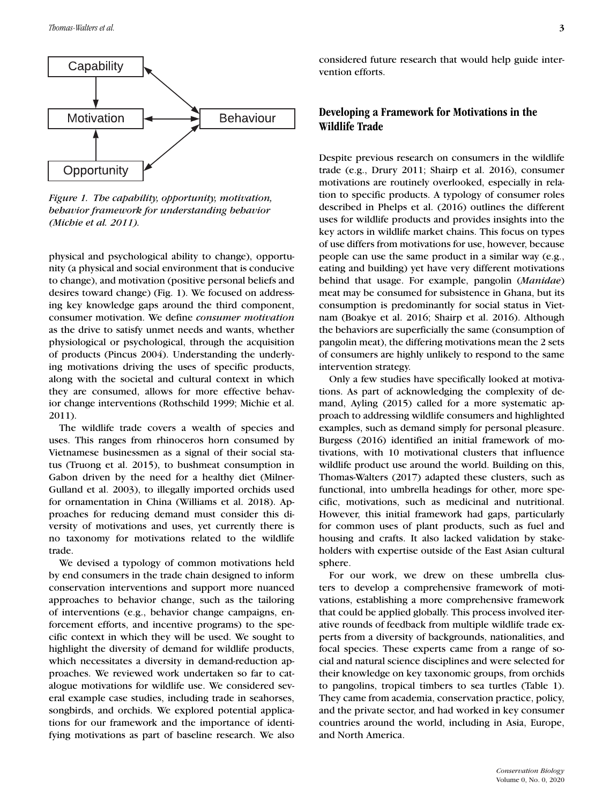

*Figure 1. The capability, opportunity, motivation, behavior framework for understanding behavior (Michie et al. 2011).*

physical and psychological ability to change), opportunity (a physical and social environment that is conducive to change), and motivation (positive personal beliefs and desires toward change) (Fig. 1). We focused on addressing key knowledge gaps around the third component, consumer motivation. We define *consumer motivation* as the drive to satisfy unmet needs and wants, whether physiological or psychological, through the acquisition of products (Pincus 2004). Understanding the underlying motivations driving the uses of specific products, along with the societal and cultural context in which they are consumed, allows for more effective behavior change interventions (Rothschild 1999; Michie et al. 2011).

The wildlife trade covers a wealth of species and uses. This ranges from rhinoceros horn consumed by Vietnamese businessmen as a signal of their social status (Truong et al. 2015), to bushmeat consumption in Gabon driven by the need for a healthy diet (Milner-Gulland et al. 2003), to illegally imported orchids used for ornamentation in China (Williams et al. 2018). Approaches for reducing demand must consider this diversity of motivations and uses, yet currently there is no taxonomy for motivations related to the wildlife trade.

We devised a typology of common motivations held by end consumers in the trade chain designed to inform conservation interventions and support more nuanced approaches to behavior change, such as the tailoring of interventions (e.g., behavior change campaigns, enforcement efforts, and incentive programs) to the specific context in which they will be used. We sought to highlight the diversity of demand for wildlife products, which necessitates a diversity in demand-reduction approaches. We reviewed work undertaken so far to catalogue motivations for wildlife use. We considered several example case studies, including trade in seahorses, songbirds, and orchids. We explored potential applications for our framework and the importance of identifying motivations as part of baseline research. We also considered future research that would help guide intervention efforts.

### **Developing a Framework for Motivations in the Wildlife Trade**

Despite previous research on consumers in the wildlife trade (e.g., Drury 2011; Shairp et al. 2016), consumer motivations are routinely overlooked, especially in relation to specific products. A typology of consumer roles described in Phelps et al. (2016) outlines the different uses for wildlife products and provides insights into the key actors in wildlife market chains. This focus on types of use differs from motivations for use, however, because people can use the same product in a similar way (e.g., eating and building) yet have very different motivations behind that usage. For example, pangolin (*Manidae*) meat may be consumed for subsistence in Ghana, but its consumption is predominantly for social status in Vietnam (Boakye et al. 2016; Shairp et al. 2016). Although the behaviors are superficially the same (consumption of pangolin meat), the differing motivations mean the 2 sets of consumers are highly unlikely to respond to the same intervention strategy.

Only a few studies have specifically looked at motivations. As part of acknowledging the complexity of demand, Ayling (2015) called for a more systematic approach to addressing wildlife consumers and highlighted examples, such as demand simply for personal pleasure. Burgess (2016) identified an initial framework of motivations, with 10 motivational clusters that influence wildlife product use around the world. Building on this, Thomas-Walters (2017) adapted these clusters, such as functional, into umbrella headings for other, more specific, motivations, such as medicinal and nutritional. However, this initial framework had gaps, particularly for common uses of plant products, such as fuel and housing and crafts. It also lacked validation by stakeholders with expertise outside of the East Asian cultural sphere.

For our work, we drew on these umbrella clusters to develop a comprehensive framework of motivations, establishing a more comprehensive framework that could be applied globally. This process involved iterative rounds of feedback from multiple wildlife trade experts from a diversity of backgrounds, nationalities, and focal species. These experts came from a range of social and natural science disciplines and were selected for their knowledge on key taxonomic groups, from orchids to pangolins, tropical timbers to sea turtles (Table 1). They came from academia, conservation practice, policy, and the private sector, and had worked in key consumer countries around the world, including in Asia, Europe, and North America.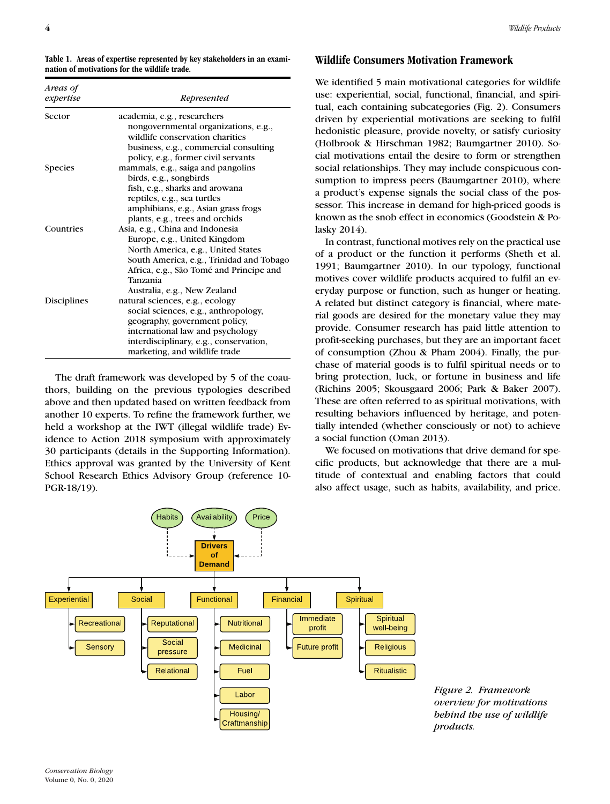**Table 1. Areas of expertise represented by key stakeholders in an examination of motivations for the wildlife trade.**

| Areas of<br>expertise | Represented                              |  |
|-----------------------|------------------------------------------|--|
| Sector                | academia, e.g., researchers              |  |
|                       | nongovernmental organizations, e.g.,     |  |
|                       | wildlife conservation charities          |  |
|                       | business, e.g., commercial consulting    |  |
|                       | policy, e.g., former civil servants      |  |
| <b>Species</b>        | mammals, e.g., saiga and pangolins       |  |
|                       | birds, e.g., songbirds                   |  |
|                       | fish, e.g., sharks and arowana           |  |
|                       | reptiles, e.g., sea turtles              |  |
|                       | amphibians, e.g., Asian grass frogs      |  |
|                       | plants, e.g., trees and orchids          |  |
| Countries             | Asia, e.g., China and Indonesia          |  |
|                       | Europe, e.g., United Kingdom             |  |
|                       | North America, e.g., United States       |  |
|                       | South America, e.g., Trinidad and Tobago |  |
|                       | Africa, e.g., São Tomé and Príncipe and  |  |
|                       | Tanzania                                 |  |
|                       | Australia, e.g., New Zealand             |  |
| Disciplines           | natural sciences, e.g., ecology          |  |
|                       | social sciences, e.g., anthropology,     |  |
|                       | geography, government policy,            |  |
|                       | international law and psychology         |  |
|                       | interdisciplinary, e.g., conservation,   |  |
|                       | marketing, and wildlife trade            |  |

The draft framework was developed by 5 of the coauthors, building on the previous typologies described above and then updated based on written feedback from another 10 experts. To refine the framework further, we held a workshop at the IWT (illegal wildlife trade) Evidence to Action 2018 symposium with approximately 30 participants (details in the Supporting Information). Ethics approval was granted by the University of Kent School Research Ethics Advisory Group (reference 10- PGR-18/19).

### **Wildlife Consumers Motivation Framework**

We identified 5 main motivational categories for wildlife use: experiential, social, functional, financial, and spiritual, each containing subcategories (Fig. 2). Consumers driven by experiential motivations are seeking to fulfil hedonistic pleasure, provide novelty, or satisfy curiosity (Holbrook & Hirschman 1982; Baumgartner 2010). Social motivations entail the desire to form or strengthen social relationships. They may include conspicuous consumption to impress peers (Baumgartner 2010), where a product's expense signals the social class of the possessor. This increase in demand for high-priced goods is known as the snob effect in economics (Goodstein & Polasky 2014).

In contrast, functional motives rely on the practical use of a product or the function it performs (Sheth et al. 1991; Baumgartner 2010). In our typology, functional motives cover wildlife products acquired to fulfil an everyday purpose or function, such as hunger or heating. A related but distinct category is financial, where material goods are desired for the monetary value they may provide. Consumer research has paid little attention to profit-seeking purchases, but they are an important facet of consumption (Zhou & Pham 2004). Finally, the purchase of material goods is to fulfil spiritual needs or to bring protection, luck, or fortune in business and life (Richins 2005; Skousgaard 2006; Park & Baker 2007). These are often referred to as spiritual motivations, with resulting behaviors influenced by heritage, and potentially intended (whether consciously or not) to achieve a social function (Oman 2013).

We focused on motivations that drive demand for specific products, but acknowledge that there are a multitude of contextual and enabling factors that could also affect usage, such as habits, availability, and price.



*Figure 2. Framework overview for motivations behind the use of wildlife products.*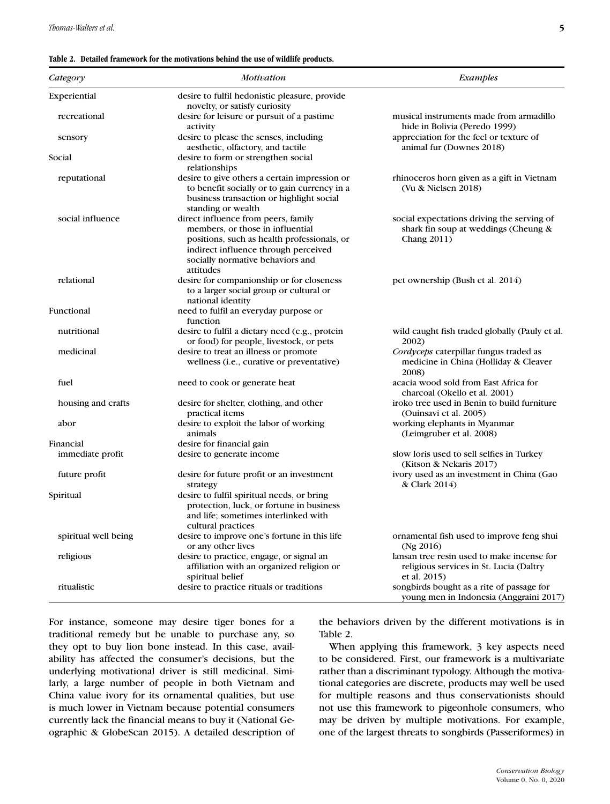#### **Table 2. Detailed framework for the motivations behind the use of wildlife products.**

| Category                 | <b>Motivation</b>                                                                           | Examples                                                                                 |
|--------------------------|---------------------------------------------------------------------------------------------|------------------------------------------------------------------------------------------|
| Experiential             | desire to fulfil hedonistic pleasure, provide                                               |                                                                                          |
|                          | novelty, or satisfy curiosity                                                               |                                                                                          |
| recreational             | desire for leisure or pursuit of a pastime                                                  | musical instruments made from armadillo                                                  |
|                          | activity                                                                                    | hide in Bolivia (Peredo 1999)                                                            |
| sensory                  | desire to please the senses, including                                                      | appreciation for the feel or texture of                                                  |
| Social                   | aesthetic, olfactory, and tactile                                                           | animal fur (Downes 2018)                                                                 |
|                          | desire to form or strengthen social<br>relationships                                        |                                                                                          |
| reputational             | desire to give others a certain impression or                                               | rhinoceros horn given as a gift in Vietnam<br>(Vu & Nielsen 2018)                        |
|                          | to benefit socially or to gain currency in a                                                |                                                                                          |
|                          | business transaction or highlight social<br>standing or wealth                              |                                                                                          |
| social influence         | direct influence from peers, family                                                         | social expectations driving the serving of                                               |
|                          | members, or those in influential                                                            | shark fin soup at weddings (Cheung &                                                     |
|                          | positions, such as health professionals, or                                                 | <b>Chang 2011)</b>                                                                       |
|                          | indirect influence through perceived                                                        |                                                                                          |
|                          | socially normative behaviors and                                                            |                                                                                          |
|                          | attitudes                                                                                   |                                                                                          |
| relational<br>Functional | desire for companionship or for closeness                                                   | pet ownership (Bush et al. 2014)                                                         |
|                          | to a larger social group or cultural or                                                     |                                                                                          |
|                          | national identity                                                                           |                                                                                          |
|                          | need to fulfil an everyday purpose or                                                       |                                                                                          |
|                          | function                                                                                    |                                                                                          |
| nutritional              | desire to fulfil a dietary need (e.g., protein                                              | wild caught fish traded globally (Pauly et al.                                           |
| medicinal                | or food) for people, livestock, or pets                                                     | 2002)                                                                                    |
|                          | desire to treat an illness or promote<br>wellness ( <i>i.e.</i> , curative or preventative) | Cordyceps caterpillar fungus traded as<br>medicine in China (Holliday & Cleaver<br>2008) |
| fuel                     | need to cook or generate heat                                                               | acacia wood sold from East Africa for                                                    |
|                          |                                                                                             | charcoal (Okello et al. 2001)                                                            |
| housing and crafts       | desire for shelter, clothing, and other                                                     | iroko tree used in Benin to build furniture                                              |
|                          | practical items                                                                             | (Ouinsavi et al. 2005)                                                                   |
| abor                     | desire to exploit the labor of working                                                      | working elephants in Myanmar                                                             |
|                          | animals                                                                                     | (Leimgruber et al. 2008)                                                                 |
| Financial                | desire for financial gain                                                                   |                                                                                          |
| immediate profit         | desire to generate income                                                                   | slow loris used to sell selfies in Turkey                                                |
|                          |                                                                                             | (Kitson & Nekaris 2017)                                                                  |
| future profit            | desire for future profit or an investment                                                   | ivory used as an investment in China (Gao                                                |
| Spiritual                | strategy                                                                                    | & Clark 2014)                                                                            |
|                          | desire to fulfil spiritual needs, or bring                                                  |                                                                                          |
|                          | protection, luck, or fortune in business<br>and life; sometimes interlinked with            |                                                                                          |
|                          | cultural practices                                                                          |                                                                                          |
| spiritual well being     | desire to improve one's fortune in this life                                                | ornamental fish used to improve feng shui                                                |
|                          | or any other lives                                                                          | (Ng $2016$ )                                                                             |
| religious                | desire to practice, engage, or signal an                                                    | lansan tree resin used to make incense for                                               |
|                          | affiliation with an organized religion or                                                   | religious services in St. Lucia (Daltry                                                  |
|                          | spiritual belief                                                                            | et al. 2015)                                                                             |
| ritualistic              | desire to practice rituals or traditions                                                    | songbirds bought as a rite of passage for                                                |
|                          |                                                                                             | young men in Indonesia (Anggraini 2017)                                                  |

For instance, someone may desire tiger bones for a traditional remedy but be unable to purchase any, so they opt to buy lion bone instead. In this case, availability has affected the consumer's decisions, but the underlying motivational driver is still medicinal. Similarly, a large number of people in both Vietnam and China value ivory for its ornamental qualities, but use is much lower in Vietnam because potential consumers currently lack the financial means to buy it (National Geographic & GlobeScan 2015). A detailed description of

the behaviors driven by the different motivations is in Table 2.

When applying this framework, 3 key aspects need to be considered. First, our framework is a multivariate rather than a discriminant typology. Although the motivational categories are discrete, products may well be used for multiple reasons and thus conservationists should not use this framework to pigeonhole consumers, who may be driven by multiple motivations. For example, one of the largest threats to songbirds (Passeriformes) in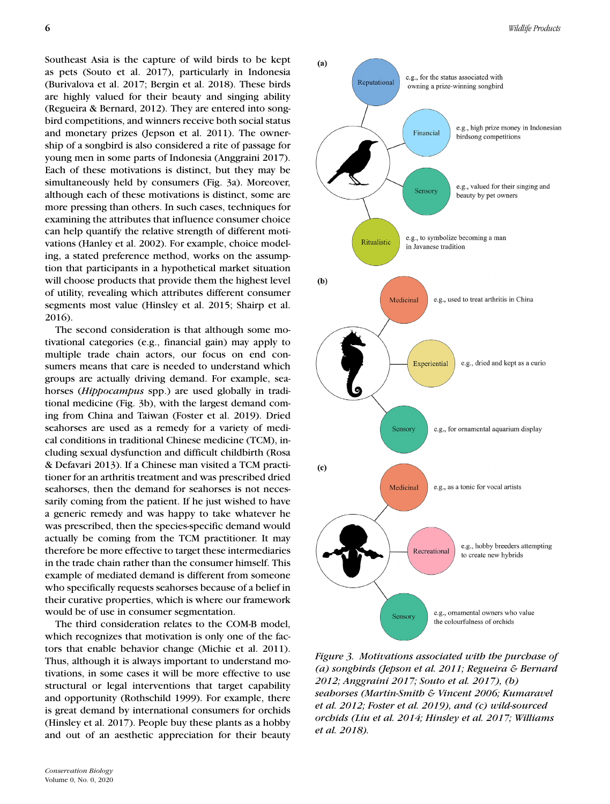Southeast Asia is the capture of wild birds to be kept as pets (Souto et al. 2017), particularly in Indonesia (Burivalova et al. 2017; Bergin et al. 2018). These birds are highly valued for their beauty and singing ability (Regueira & Bernard, 2012). They are entered into songbird competitions, and winners receive both social status and monetary prizes (Jepson et al. 2011). The ownership of a songbird is also considered a rite of passage for young men in some parts of Indonesia (Anggraini 2017). Each of these motivations is distinct, but they may be simultaneously held by consumers (Fig. 3a). Moreover, although each of these motivations is distinct, some are more pressing than others. In such cases, techniques for examining the attributes that influence consumer choice can help quantify the relative strength of different motivations (Hanley et al. 2002). For example, choice modeling, a stated preference method, works on the assumption that participants in a hypothetical market situation will choose products that provide them the highest level of utility, revealing which attributes different consumer segments most value (Hinsley et al. 2015; Shairp et al. 2016).

The second consideration is that although some motivational categories (e.g., financial gain) may apply to multiple trade chain actors, our focus on end consumers means that care is needed to understand which groups are actually driving demand. For example, seahorses (*Hippocampus* spp.) are used globally in traditional medicine (Fig. 3b), with the largest demand coming from China and Taiwan (Foster et al. 2019). Dried seahorses are used as a remedy for a variety of medical conditions in traditional Chinese medicine (TCM), including sexual dysfunction and difficult childbirth (Rosa & Defavari 2013). If a Chinese man visited a TCM practitioner for an arthritis treatment and was prescribed dried seahorses, then the demand for seahorses is not necessarily coming from the patient. If he just wished to have a generic remedy and was happy to take whatever he was prescribed, then the species-specific demand would actually be coming from the TCM practitioner. It may therefore be more effective to target these intermediaries in the trade chain rather than the consumer himself. This example of mediated demand is different from someone who specifically requests seahorses because of a belief in their curative properties, which is where our framework would be of use in consumer segmentation.

The third consideration relates to the COM-B model, which recognizes that motivation is only one of the factors that enable behavior change (Michie et al. 2011). Thus, although it is always important to understand motivations, in some cases it will be more effective to use structural or legal interventions that target capability and opportunity (Rothschild 1999). For example, there is great demand by international consumers for orchids (Hinsley et al. 2017). People buy these plants as a hobby and out of an aesthetic appreciation for their beauty



*Figure 3. Motivations associated with the purchase of (a) songbirds (Jepson et al. 2011; Regueira & Bernard 2012; Anggraini 2017; Souto et al. 2017), (b) seahorses (Martin-Smith & Vincent 2006; Kumaravel et al. 2012; Foster et al. 2019), and (c) wild-sourced orchids (Liu et al. 2014; Hinsley et al. 2017; Williams et al. 2018).*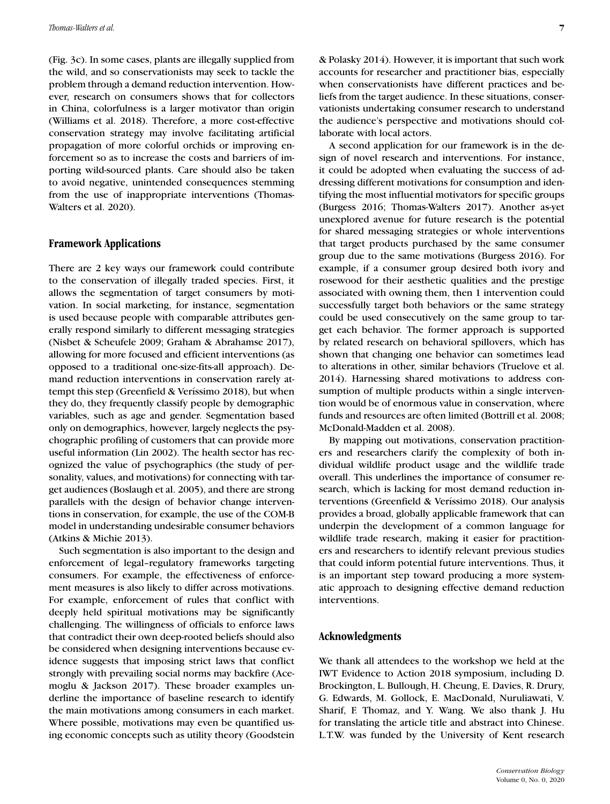(Fig. 3c). In some cases, plants are illegally supplied from the wild, and so conservationists may seek to tackle the problem through a demand reduction intervention. However, research on consumers shows that for collectors in China, colorfulness is a larger motivator than origin (Williams et al. 2018). Therefore, a more cost-effective conservation strategy may involve facilitating artificial propagation of more colorful orchids or improving enforcement so as to increase the costs and barriers of importing wild-sourced plants. Care should also be taken to avoid negative, unintended consequences stemming from the use of inappropriate interventions (Thomas-Walters et al. 2020).

### **Framework Applications**

There are 2 key ways our framework could contribute to the conservation of illegally traded species. First, it allows the segmentation of target consumers by motivation. In social marketing, for instance, segmentation is used because people with comparable attributes generally respond similarly to different messaging strategies (Nisbet & Scheufele 2009; Graham & Abrahamse 2017), allowing for more focused and efficient interventions (as opposed to a traditional one-size-fits-all approach). Demand reduction interventions in conservation rarely attempt this step (Greenfield & Veríssimo 2018), but when they do, they frequently classify people by demographic variables, such as age and gender. Segmentation based only on demographics, however, largely neglects the psychographic profiling of customers that can provide more useful information (Lin 2002). The health sector has recognized the value of psychographics (the study of personality, values, and motivations) for connecting with target audiences (Boslaugh et al. 2005), and there are strong parallels with the design of behavior change interventions in conservation, for example, the use of the COM-B model in understanding undesirable consumer behaviors (Atkins & Michie 2013).

Such segmentation is also important to the design and enforcement of legal–regulatory frameworks targeting consumers. For example, the effectiveness of enforcement measures is also likely to differ across motivations. For example, enforcement of rules that conflict with deeply held spiritual motivations may be significantly challenging. The willingness of officials to enforce laws that contradict their own deep-rooted beliefs should also be considered when designing interventions because evidence suggests that imposing strict laws that conflict strongly with prevailing social norms may backfire (Acemoglu & Jackson 2017). These broader examples underline the importance of baseline research to identify the main motivations among consumers in each market. Where possible, motivations may even be quantified using economic concepts such as utility theory (Goodstein & Polasky 2014). However, it is important that such work accounts for researcher and practitioner bias, especially when conservationists have different practices and beliefs from the target audience. In these situations, conservationists undertaking consumer research to understand the audience's perspective and motivations should collaborate with local actors.

A second application for our framework is in the design of novel research and interventions. For instance, it could be adopted when evaluating the success of addressing different motivations for consumption and identifying the most influential motivators for specific groups (Burgess 2016; Thomas-Walters 2017). Another as-yet unexplored avenue for future research is the potential for shared messaging strategies or whole interventions that target products purchased by the same consumer group due to the same motivations (Burgess 2016). For example, if a consumer group desired both ivory and rosewood for their aesthetic qualities and the prestige associated with owning them, then 1 intervention could successfully target both behaviors or the same strategy could be used consecutively on the same group to target each behavior. The former approach is supported by related research on behavioral spillovers, which has shown that changing one behavior can sometimes lead to alterations in other, similar behaviors (Truelove et al. 2014). Harnessing shared motivations to address consumption of multiple products within a single intervention would be of enormous value in conservation, where funds and resources are often limited (Bottrill et al. 2008; McDonald-Madden et al. 2008).

By mapping out motivations, conservation practitioners and researchers clarify the complexity of both individual wildlife product usage and the wildlife trade overall. This underlines the importance of consumer research, which is lacking for most demand reduction interventions (Greenfield & Veríssimo 2018). Our analysis provides a broad, globally applicable framework that can underpin the development of a common language for wildlife trade research, making it easier for practitioners and researchers to identify relevant previous studies that could inform potential future interventions. Thus, it is an important step toward producing a more systematic approach to designing effective demand reduction interventions.

### **Acknowledgments**

We thank all attendees to the workshop we held at the IWT Evidence to Action 2018 symposium, including D. Brockington, L. Bullough, H. Cheung, E. Davies, R. Drury, G. Edwards, M. Gollock, E. MacDonald, Nuruliawati, V. Sharif, F. Thomaz, and Y. Wang. We also thank J. Hu for translating the article title and abstract into Chinese. L.T.W. was funded by the University of Kent research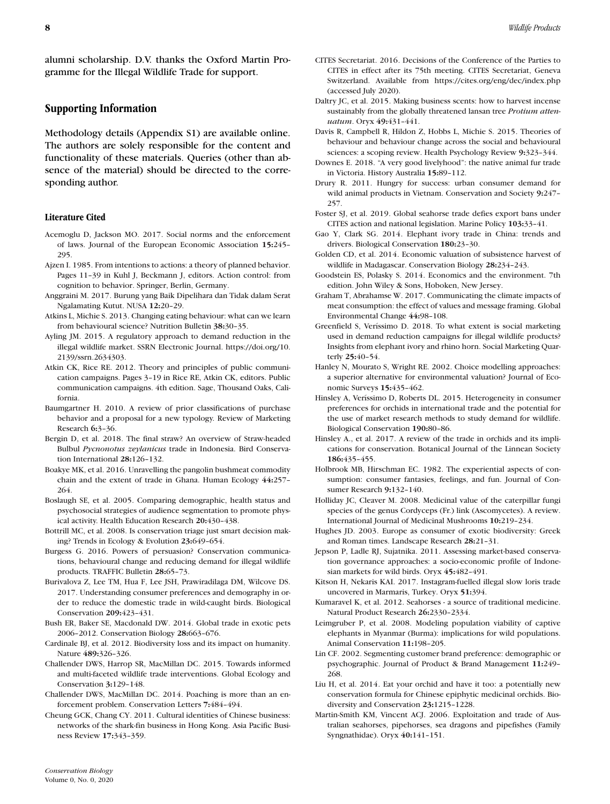alumni scholarship. D.V. thanks the Oxford Martin Programme for the Illegal Wildlife Trade for support.

### **Supporting Information**

Methodology details (Appendix S1) are available online. The authors are solely responsible for the content and functionality of these materials. Queries (other than absence of the material) should be directed to the corresponding author.

### **Literature Cited**

- Acemoglu D, Jackson MO. 2017. Social norms and the enforcement of laws. Journal of the European Economic Association **15:**245– 295.
- Ajzen I. 1985. From intentions to actions: a theory of planned behavior. Pages 11–39 in Kuhl J, Beckmann J, editors. Action control: from cognition to behavior. Springer, Berlin, Germany.
- Anggraini M. 2017. Burung yang Baik Dipelihara dan Tidak dalam Serat Ngalamating Kutut. NUSA **12:**20–29.
- Atkins L, Michie S. 2013. Changing eating behaviour: what can we learn from behavioural science? Nutrition Bulletin **38:**30–35.
- Ayling JM. 2015. A regulatory approach to demand reduction in the illegal wildlife market. SSRN Electronic Journal. [https://doi.org/10.](https://doi.org/10.2139/ssrn.2634303) [2139/ssrn.2634303.](https://doi.org/10.2139/ssrn.2634303)
- Atkin CK, Rice RE. 2012. Theory and principles of public communication campaigns. Pages 3–19 in Rice RE, Atkin CK, editors. Public communication campaigns. 4th edition. Sage, Thousand Oaks, California.
- Baumgartner H. 2010. A review of prior classifications of purchase behavior and a proposal for a new typology. Review of Marketing Research **6:**3–36.
- Bergin D, et al. 2018. The final straw? An overview of Straw-headed Bulbul *Pycnonotus zeylanicus* trade in Indonesia. Bird Conservation International **28:**126–132.
- Boakye MK, et al. 2016. Unravelling the pangolin bushmeat commodity chain and the extent of trade in Ghana. Human Ecology **44:**257– 264.
- Boslaugh SE, et al. 2005. Comparing demographic, health status and psychosocial strategies of audience segmentation to promote physical activity. Health Education Research **20:**430–438.
- Bottrill MC, et al. 2008. Is conservation triage just smart decision making? Trends in Ecology & Evolution **23:**649–654.
- Burgess G. 2016. Powers of persuasion? Conservation communications, behavioural change and reducing demand for illegal wildlife products. TRAFFIC Bulletin **28:**65–73.
- Burivalova Z, Lee TM, Hua F, Lee JSH, Prawiradilaga DM, Wilcove DS. 2017. Understanding consumer preferences and demography in order to reduce the domestic trade in wild-caught birds. Biological Conservation **209:**423–431.
- Bush ER, Baker SE, Macdonald DW. 2014. Global trade in exotic pets 2006–2012. Conservation Biology **28:**663–676.
- Cardinale BJ, et al. 2012. Biodiversity loss and its impact on humanity. Nature **489:**326–326.
- Challender DWS, Harrop SR, MacMillan DC. 2015. Towards informed and multi-faceted wildlife trade interventions. Global Ecology and Conservation **3:**129–148.
- Challender DWS, MacMillan DC. 2014. Poaching is more than an enforcement problem. Conservation Letters **7:**484–494.
- Cheung GCK, Chang CY. 2011. Cultural identities of Chinese business: networks of the shark-fin business in Hong Kong. Asia Pacific Business Review **17:**343–359.
- CITES Secretariat. 2016. Decisions of the Conference of the Parties to CITES in effect after its 75th meeting. CITES Secretariat, Geneva Switzerland. Available from<https://cites.org/eng/dec/index.php> (accessed July 2020).
- Daltry JC, et al. 2015. Making business scents: how to harvest incense sustainably from the globally threatened lansan tree *Protium attenuatum*. Oryx **49:**431–441.
- Davis R, Campbell R, Hildon Z, Hobbs L, Michie S. 2015. Theories of behaviour and behaviour change across the social and behavioural sciences: a scoping review. Health Psychology Review **9:**323–344.
- Downes E. 2018. "A very good livelyhood": the native animal fur trade in Victoria. History Australia **15:**89–112.
- Drury R. 2011. Hungry for success: urban consumer demand for wild animal products in Vietnam. Conservation and Society **9:**247– 257.
- Foster SJ, et al. 2019. Global seahorse trade defies export bans under CITES action and national legislation. Marine Policy **103:**33–41.
- Gao Y, Clark SG. 2014. Elephant ivory trade in China: trends and drivers. Biological Conservation **180:**23–30.
- Golden CD, et al. 2014. Economic valuation of subsistence harvest of wildlife in Madagascar. Conservation Biology **28:**234–243.
- Goodstein ES, Polasky S. 2014. Economics and the environment. 7th edition. John Wiley & Sons, Hoboken, New Jersey.
- Graham T, Abrahamse W. 2017. Communicating the climate impacts of meat consumption: the effect of values and message framing. Global Environmental Change **44:**98–108.
- Greenfield S, Veríssimo D. 2018. To what extent is social marketing used in demand reduction campaigns for illegal wildlife products? Insights from elephant ivory and rhino horn. Social Marketing Quarterly **25:**40–54.
- Hanley N, Mourato S, Wright RE. 2002. Choice modelling approaches: a superior alternative for environmental valuation? Journal of Economic Surveys **15:**435–462.
- Hinsley A, Veríssimo D, Roberts DL. 2015. Heterogeneity in consumer preferences for orchids in international trade and the potential for the use of market research methods to study demand for wildlife. Biological Conservation **190:**80–86.
- Hinsley A., et al. 2017. A review of the trade in orchids and its implications for conservation. Botanical Journal of the Linnean Society **186:**435–455.
- Holbrook MB, Hirschman EC. 1982. The experiential aspects of consumption: consumer fantasies, feelings, and fun. Journal of Consumer Research **9:**132–140.
- Holliday JC, Cleaver M. 2008. Medicinal value of the caterpillar fungi species of the genus Cordyceps (Fr.) link (Ascomycetes). A review. International Journal of Medicinal Mushrooms **10:**219–234.
- Hughes JD. 2003. Europe as consumer of exotic biodiversity: Greek and Roman times. Landscape Research **28:**21–31.
- Jepson P, Ladle RJ, Sujatnika. 2011. Assessing market-based conservation governance approaches: a socio-economic profile of Indonesian markets for wild birds. Oryx **45:**482–491.
- Kitson H, Nekaris KAI. 2017. Instagram-fuelled illegal slow loris trade uncovered in Marmaris, Turkey. Oryx **51:**394.
- Kumaravel K, et al. 2012. Seahorses a source of traditional medicine. Natural Product Research **26:**2330–2334.
- Leimgruber P, et al. 2008. Modeling population viability of captive elephants in Myanmar (Burma): implications for wild populations. Animal Conservation **11:**198–205.
- Lin CF. 2002. Segmenting customer brand preference: demographic or psychographic. Journal of Product & Brand Management **11:**249– 268.
- Liu H, et al. 2014. Eat your orchid and have it too: a potentially new conservation formula for Chinese epiphytic medicinal orchids. Biodiversity and Conservation **23:**1215–1228.
- Martin-Smith KM, Vincent ACJ. 2006. Exploitation and trade of Australian seahorses, pipehorses, sea dragons and pipefishes (Family Syngnathidae). Oryx **40:**141–151.